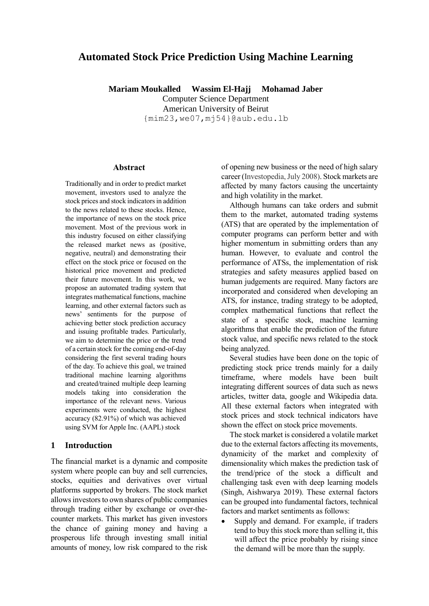# **Automated Stock Price Prediction Using Machine Learning**

**Mariam Moukalled Wassim El-Hajj Mohamad Jaber**

Computer Science Department American University of Beirut [{mim23,we07,mj54}@aub.edu.](mailto:Mim23@mail.aub.edu)lb

#### **Abstract**

Traditionally and in order to predict market movement, investors used to analyze the stock prices and stock indicators in addition to the news related to these stocks. Hence, the importance of news on the stock price movement. Most of the previous work in this industry focused on either classifying the released market news as (positive, negative, neutral) and demonstrating their effect on the stock price or focused on the historical price movement and predicted their future movement. In this work, we propose an automated trading system that integrates mathematical functions, machine learning, and other external factors such as news' sentiments for the purpose of achieving better stock prediction accuracy and issuing profitable trades. Particularly, we aim to determine the price or the trend of a certain stock for the coming end-of-day considering the first several trading hours of the day. To achieve this goal, we trained traditional machine learning algorithms and created/trained multiple deep learning models taking into consideration the importance of the relevant news. Various experiments were conducted, the highest accuracy (82.91%) of which was achieved using SVM for Apple Inc. (AAPL) stock

### **1 Introduction**

The financial market is a dynamic and composite system where people can buy and sell currencies, stocks, equities and derivatives over virtual platforms supported by brokers. The stock market allows investors to own shares of public companies through trading either by exchange or over-thecounter markets. This market has given investors the chance of gaining money and having a prosperous life through investing small initial amounts of money, low risk compared to the risk of opening new business or the need of high salary career (Investopedia, July 2008). Stock markets are affected by many factors causing the uncertainty and high volatility in the market.

Although humans can take orders and submit them to the market, automated trading systems (ATS) that are operated by the implementation of computer programs can perform better and with higher momentum in submitting orders than any human. However, to evaluate and control the performance of ATSs, the implementation of risk strategies and safety measures applied based on human judgements are required. Many factors are incorporated and considered when developing an ATS, for instance, trading strategy to be adopted, complex mathematical functions that reflect the state of a specific stock, machine learning algorithms that enable the prediction of the future stock value, and specific news related to the stock being analyzed.

Several studies have been done on the topic of predicting stock price trends mainly for a daily timeframe, where models have been built integrating different sources of data such as news articles, twitter data, google and Wikipedia data. All these external factors when integrated with stock prices and stock technical indicators have shown the effect on stock price movements.

The stock market is considered a volatile market due to the external factors affecting its movements, dynamicity of the market and complexity of dimensionality which makes the prediction task of the trend/price of the stock a difficult and challenging task even with deep learning models (Singh, Aishwarya 2019). These external factors can be grouped into fundamental factors, technical factors and market sentiments as follows:

 Supply and demand. For example, if traders tend to buy this stock more than selling it, this will affect the price probably by rising since the demand will be more than the supply.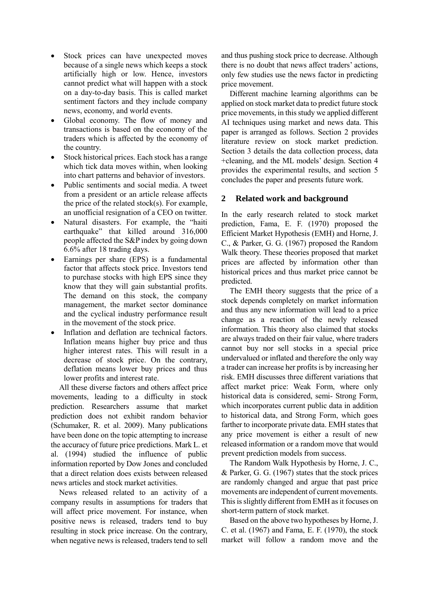- Stock prices can have unexpected moves because of a single news which keeps a stock artificially high or low. Hence, investors cannot predict what will happen with a stock on a day-to-day basis. This is called market sentiment factors and they include company news, economy, and world events.
- Global economy. The flow of money and transactions is based on the economy of the traders which is affected by the economy of the country.
- Stock historical prices. Each stock has a range which tick data moves within, when looking into chart patterns and behavior of investors.
- Public sentiments and social media. A tweet from a president or an article release affects the price of the related stock(s). For example, an unofficial resignation of a CEO on twitter.
- Natural disasters. For example, the "haiti earthquake" that killed around 316,000 people affected the S&P index by going down 6.6% after 18 trading days.
- Earnings per share (EPS) is a fundamental factor that affects stock price. Investors tend to purchase stocks with high EPS since they know that they will gain substantial profits. The demand on this stock, the company management, the market sector dominance and the cyclical industry performance result in the movement of the stock price.
- Inflation and deflation are technical factors. Inflation means higher buy price and thus higher interest rates. This will result in a decrease of stock price. On the contrary, deflation means lower buy prices and thus lower profits and interest rate.

All these diverse factors and others affect price movements, leading to a difficulty in stock prediction. Researchers assume that market prediction does not exhibit random behavior (Schumaker, R. et al. 2009). Many publications have been done on the topic attempting to increase the accuracy of future price predictions. Mark L. et al. (1994) studied the influence of public information reported by Dow Jones and concluded that a direct relation does exists between released news articles and stock market activities.

News released related to an activity of a company results in assumptions for traders that will affect price movement. For instance, when positive news is released, traders tend to buy resulting in stock price increase. On the contrary, when negative news is released, traders tend to sell and thus pushing stock price to decrease. Although there is no doubt that news affect traders' actions, only few studies use the news factor in predicting price movement.

Different machine learning algorithms can be applied on stock market data to predict future stock price movements, in this study we applied different AI techniques using market and news data. This paper is arranged as follows. Section 2 provides literature review on stock market prediction. Section 3 details the data collection process, data +cleaning, and the ML models' design. Section 4 provides the experimental results, and section 5 concludes the paper and presents future work.

# **2 Related work and background**

In the early research related to stock market prediction, Fama, E. F. (1970) proposed the Efficient Market Hypothesis (EMH) and Horne, J. C., & Parker, G. G. (1967) proposed the Random Walk theory. These theories proposed that market prices are affected by information other than historical prices and thus market price cannot be predicted.

The EMH theory suggests that the price of a stock depends completely on market information and thus any new information will lead to a price change as a reaction of the newly released information. This theory also claimed that stocks are always traded on their fair value, where traders cannot buy nor sell stocks in a special price undervalued or inflated and therefore the only way a trader can increase her profits is by increasing her risk. EMH discusses three different variations that affect market price: Weak Form, where only historical data is considered, semi- Strong Form, which incorporates current public data in addition to historical data, and Strong Form, which goes farther to incorporate private data. EMH states that any price movement is either a result of new released information or a random move that would prevent prediction models from success.

The Random Walk Hypothesis by Horne, J. C., & Parker, G. G. (1967) states that the stock prices are randomly changed and argue that past price movements are independent of current movements. This is slightly different from EMH as it focuses on short-term pattern of stock market.

Based on the above two hypotheses by Horne, J. C. et al. (1967) and Fama, E. F. (1970), the stock market will follow a random move and the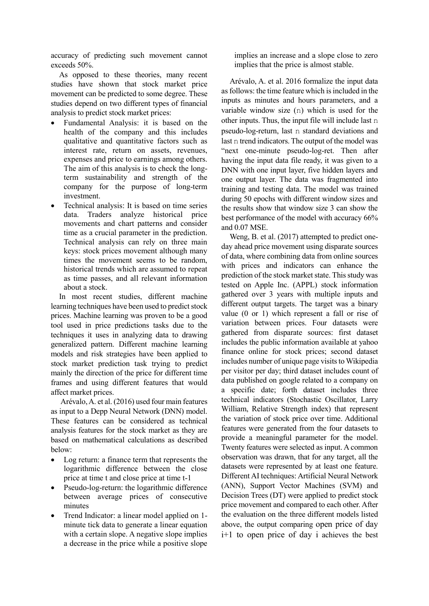accuracy of predicting such movement cannot exceeds 50%.

As opposed to these theories, many recent studies have shown that stock market price movement can be predicted to some degree. These studies depend on two different types of financial analysis to predict stock market prices:

- Fundamental Analysis: it is based on the health of the company and this includes qualitative and quantitative factors such as interest rate, return on assets, revenues, expenses and price to earnings among others. The aim of this analysis is to check the longterm sustainability and strength of the company for the purpose of long-term investment.
- Technical analysis: It is based on time series data. Traders analyze historical price movements and chart patterns and consider time as a crucial parameter in the prediction. Technical analysis can rely on three main keys: stock prices movement although many times the movement seems to be random, historical trends which are assumed to repeat as time passes, and all relevant information about a stock.

In most recent studies, different machine learning techniques have been used to predict stock prices. Machine learning was proven to be a good tool used in price predictions tasks due to the techniques it uses in analyzing data to drawing generalized pattern. Different machine learning models and risk strategies have been applied to stock market prediction task trying to predict mainly the direction of the price for different time frames and using different features that would affect market prices.

Arévalo, A. et al. (2016) used four main features as input to a Depp Neural Network (DNN) model. These features can be considered as technical analysis features for the stock market as they are based on mathematical calculations as described below:

- Log return: a finance term that represents the logarithmic difference between the close price at time t and close price at time t-1
- Pseudo-log-return: the logarithmic difference between average prices of consecutive minutes
- Trend Indicator: a linear model applied on 1 minute tick data to generate a linear equation with a certain slope. A negative slope implies a decrease in the price while a positive slope

implies an increase and a slope close to zero implies that the price is almost stable.

Arévalo, A. et al. 2016 formalize the input data as follows: the time feature which is included in the inputs as minutes and hours parameters, and a variable window size (n) which is used for the other inputs. Thus, the input file will include last n pseudo-log-return, last n standard deviations and last n trend indicators. The output of the model was "next one-minute pseudo-log-ret. Then after having the input data file ready, it was given to a DNN with one input layer, five hidden layers and one output layer. The data was fragmented into training and testing data. The model was trained during 50 epochs with different window sizes and the results show that window size 3 can show the best performance of the model with accuracy 66% and 0.07 MSE.

Weng, B. et al. (2017) attempted to predict oneday ahead price movement using disparate sources of data, where combining data from online sources with prices and indicators can enhance the prediction of the stock market state. This study was tested on Apple Inc. (APPL) stock information gathered over 3 years with multiple inputs and different output targets. The target was a binary value (0 or 1) which represent a fall or rise of variation between prices. Four datasets were gathered from disparate sources: first dataset includes the public information available at yahoo finance online for stock prices; second dataset includes number of unique page visits to Wikipedia per visitor per day; third dataset includes count of data published on google related to a company on a specific date; forth dataset includes three technical indicators (Stochastic Oscillator, Larry William, Relative Strength index) that represent the variation of stock price over time. Additional features were generated from the four datasets to provide a meaningful parameter for the model. Twenty features were selected as input. A common observation was drawn, that for any target, all the datasets were represented by at least one feature. Different AI techniques: Artificial Neural Network (ANN), Support Vector Machines (SVM) and Decision Trees (DT) were applied to predict stock price movement and compared to each other. After the evaluation on the three different models listed above, the output comparing open price of day i+1 to open price of day i achieves the best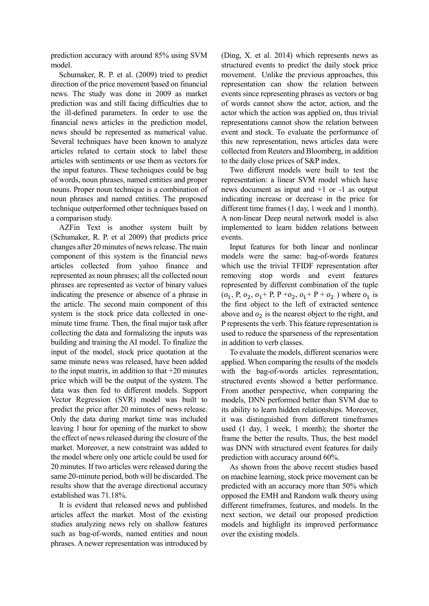prediction accuracy with around 85% using SVM model.

Schumaker, R. P. et al. (2009) tried to predict direction of the price movement based on financial news. The study was done in 2009 as market prediction was and still facing difficulties due to the ill-defined parameters. In order to use the financial news articles in the prediction model, news should be represented as numerical value. Several techniques have been known to analyze articles related to certain stock to label these articles with sentiments or use them as vectors for the input features. These techniques could be bag of words, noun phrases, named entities and proper nouns. Proper noun technique is a combination of noun phrases and named entities. The proposed technique outperformed other techniques based on a comparison study.

AZFin Text is another system built by (Schumaker, R. P. et al 2009) that predicts price changes after 20 minutes of news release. The main component of this system is the financial news articles collected from yahoo finance and represented as noun phrases; all the collected noun phrases are represented as vector of binary values indicating the presence or absence of a phrase in the article. The second main component of this system is the stock price data collected in oneminute time frame. Then, the final major task after collecting the data and formalizing the inputs was building and training the AI model. To finalize the input of the model, stock price quotation at the same minute news was released, have been added to the input matrix, in addition to that  $+20$  minutes price which will be the output of the system. The data was then fed to different models. Support Vector Regression (SVR) model was built to predict the price after 20 minutes of news release. Only the data during market time was included leaving 1 hour for opening of the market to show the effect of news released during the closure of the market. Moreover, a new constraint was added to the model where only one article could be used for 20 minutes. If two articles were released during the same 20-minute period, both will be discarded. The results show that the average directional accuracy established was 71.18%.

It is evident that released news and published articles affect the market. Most of the existing studies analyzing news rely on shallow features such as bag-of-words, named entities and noun phrases. A newer representation was introduced by (Ding, X. et al. 2014) which represents news as structured events to predict the daily stock price movement. Unlike the previous approaches, this representation can show the relation between events since representing phrases as vectors or bag of words cannot show the actor, action, and the actor which the action was applied on, thus trivial representations cannot show the relation between event and stock. To evaluate the performance of this new representation, news articles data were collected from Reuters and Bloomberg, in addition to the daily close prices of S&P index.

Two different models were built to test the representation: a linear SVM model which have news document as input and +1 or -1 as output indicating increase or decrease in the price for different time frames (1 day, 1 week and 1 month). A non-linear Deep neural network model is also implemented to learn hidden relations between events.

Input features for both linear and nonlinear models were the same: bag-of-words features which use the trivial TFIDF representation after removing stop words and event features represented by different combination of the tuple  $(o_1, P, o_2, o_1 + P, P + o_2, o_1 + P + o_2)$  where  $o_1$  is the first object to the left of extracted sentence above and  $o_2$  is the nearest object to the right, and P represents the verb. This feature representation is used to reduce the sparseness of the representation in addition to verb classes.

To evaluate the models, different scenarios were applied. When comparing the results of the models with the bag-of-words articles representation, structured events showed a better performance. From another perspective, when comparing the models, DNN performed better than SVM due to its ability to learn hidden relationships. Moreover, it was distinguished from different timeframes used (1 day, 1 week, 1 month); the shorter the frame the better the results. Thus, the best model was DNN with structured event features for daily prediction with accuracy around 60%.

As shown from the above recent studies based on machine learning, stock price movement can be predicted with an accuracy more than 50% which opposed the EMH and Random walk theory using different timeframes, features, and models. In the next section, we detail our proposed prediction models and highlight its improved performance over the existing models.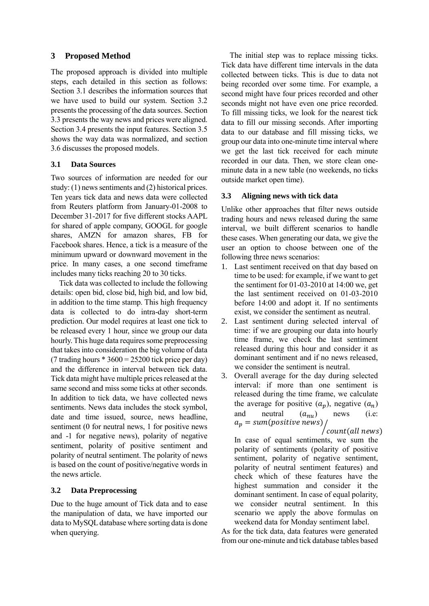# **3 Proposed Method**

The proposed approach is divided into multiple steps, each detailed in this section as follows: Section 3.1 describes the information sources that we have used to build our system. Section 3.2 presents the processing of the data sources. Section 3.3 presents the way news and prices were aligned. Section 3.4 presents the input features. Section 3.5 shows the way data was normalized, and section 3.6 discusses the proposed models.

# **3.1 Data Sources**

Two sources of information are needed for our study:  $(1)$  news sentiments and  $(2)$  historical prices. Ten years tick data and news data were collected from Reuters platform from January-01-2008 to December 31-2017 for five different stocks AAPL for shared of apple company, GOOGL for google shares, AMZN for amazon shares, FB for Facebook shares. Hence, a tick is a measure of the minimum upward or downward movement in the price. In many cases, a one second timeframe includes many ticks reaching 20 to 30 ticks.

Tick data was collected to include the following details: open bid, close bid, high bid, and low bid, in addition to the time stamp. This high frequency data is collected to do intra-day short-term prediction. Our model requires at least one tick to be released every 1 hour, since we group our data hourly. This huge data requires some preprocessing that takes into consideration the big volume of data (7 trading hours  $*3600 = 25200$  tick price per day) and the difference in interval between tick data. Tick data might have multiple prices released at the same second and miss some ticks at other seconds. In addition to tick data, we have collected news sentiments. News data includes the stock symbol, date and time issued, source, news headline, sentiment (0 for neutral news, 1 for positive news and -1 for negative news), polarity of negative sentiment, polarity of positive sentiment and polarity of neutral sentiment. The polarity of news is based on the count of positive/negative words in the news article.

# **3.2 Data Preprocessing**

Due to the huge amount of Tick data and to ease the manipulation of data, we have imported our data to MySQL database where sorting data is done when querying.

The initial step was to replace missing ticks. Tick data have different time intervals in the data collected between ticks. This is due to data not being recorded over some time. For example, a second might have four prices recorded and other seconds might not have even one price recorded. To fill missing ticks, we look for the nearest tick data to fill our missing seconds. After importing data to our database and fill missing ticks, we group our data into one-minute time interval where we get the last tick received for each minute recorded in our data. Then, we store clean oneminute data in a new table (no weekends, no ticks outside market open time).

# **3.3 Aligning news with tick data**

Unlike other approaches that filter news outside trading hours and news released during the same interval, we built different scenarios to handle these cases. When generating our data, we give the user an option to choose between one of the following three news scenarios:

- 1. Last sentiment received on that day based on time to be used: for example, if we want to get the sentiment for 01-03-2010 at 14:00 we, get the last sentiment received on 01-03-2010 before 14:00 and adopt it. If no sentiments exist, we consider the sentiment as neutral.
- 2. Last sentiment during selected interval of time: if we are grouping our data into hourly time frame, we check the last sentiment released during this hour and consider it as dominant sentiment and if no news released, we consider the sentiment is neutral.
- 3. Overall average for the day during selected interval: if more than one sentiment is released during the time frame, we calculate the average for positive  $(a_n)$ , negative  $(a_n)$ and neutral  $(a_{nu})$  news (i.e:  $a_n = sum (positive news)$

,<br>| count(all news)

In case of equal sentiments, we sum the polarity of sentiments (polarity of positive sentiment, polarity of negative sentiment, polarity of neutral sentiment features) and check which of these features have the highest summation and consider it the dominant sentiment. In case of equal polarity, we consider neutral sentiment. In this scenario we apply the above formulas on weekend data for Monday sentiment label.

As for the tick data, data features were generated from our one-minute and tick database tables based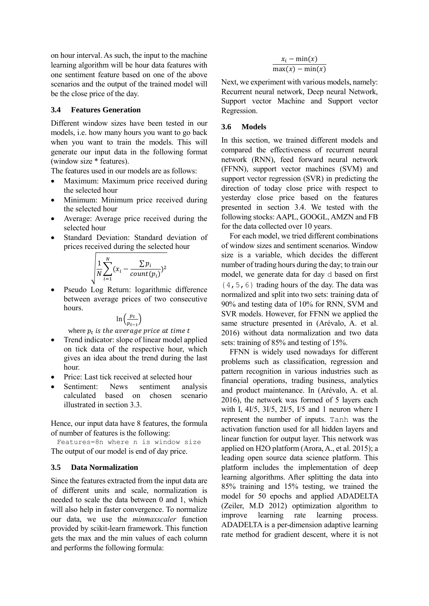on hour interval. As such, the input to the machine learning algorithm will be hour data features with one sentiment feature based on one of the above scenarios and the output of the trained model will be the close price of the day.

### **3.4 Features Generation**

Different window sizes have been tested in our models, i.e. how many hours you want to go back when you want to train the models. This will generate our input data in the following format (window size \* features).

The features used in our models are as follows:

- Maximum: Maximum price received during the selected hour
- Minimum: Minimum price received during the selected hour
- Average: Average price received during the selected hour
- Standard Deviation: Standard deviation of prices received during the selected hour

$$
\sqrt{\frac{1}{N}\sum_{i=1}^{N}(x_i-\frac{\sum p_i}{count(p_i)})^2}
$$

 Pseudo Log Return: logarithmic difference between average prices of two consecutive hours.

$$
\ln\left(\frac{p_t}{p_{t-1}}\right)
$$

where  $p_t$  is the average price at time t

- Trend indicator: slope of linear model applied on tick data of the respective hour, which gives an idea about the trend during the last hour.
- Price: Last tick received at selected hour
- Sentiment: News sentiment analysis calculated based on chosen scenario illustrated in section 3.3.

Hence, our input data have 8 features, the formula of number of features is the following:

Features=8n where n is window size The output of our model is end of day price.

### **3.5 Data Normalization**

Since the features extracted from the input data are of different units and scale, normalization is needed to scale the data between 0 and 1, which will also help in faster convergence. To normalize our data, we use the *minmaxscaler* function provided by scikit-learn framework. This function gets the max and the min values of each column and performs the following formula:

$$
\frac{x_i - \min(x)}{\max(x) - \min(x)}
$$

Next, we experiment with various models, namely: Recurrent neural network, Deep neural Network, Support vector Machine and Support vector Regression.

### **3.6 Models**

In this section, we trained different models and compared the effectiveness of recurrent neural network (RNN), feed forward neural network (FFNN), support vector machines (SVM) and support vector regression (SVR) in predicting the direction of today close price with respect to yesterday close price based on the features presented in section 3.4. We tested with the following stocks: AAPL, GOOGL, AMZN and FB for the data collected over 10 years.

For each model, we tried different combinations of window sizes and sentiment scenarios. Window size is a variable, which decides the different number of trading hours during the day; to train our model, we generate data for day d based on first {4,5,6} trading hours of the day. The data was normalized and split into two sets: training data of 90% and testing data of 10% for RNN, SVM and SVR models. However, for FFNN we applied the same structure presented in (Arévalo, A. et al. 2016) without data normalization and two data sets: training of 85% and testing of 15%.

FFNN is widely used nowadays for different problems such as classification, regression and pattern recognition in various industries such as financial operations, trading business, analytics and product maintenance. In (Arévalo, A. et al. 2016), the network was formed of 5 layers each with I, 4I/5, 3I/5, 2I/5, I/5 and 1 neuron where I represent the number of inputs. Tanh was the activation function used for all hidden layers and linear function for output layer. This network was applied on H2O platform (Arora, A., et al. 2015); a leading open source data science platform. This platform includes the implementation of deep learning algorithms. After splitting the data into 85% training and 15% testing, we trained the model for 50 epochs and applied ADADELTA (Zeiler, M.D 2012) optimization algorithm to improve learning rate learning process. ADADELTA is a per-dimension adaptive learning rate method for gradient descent, where it is not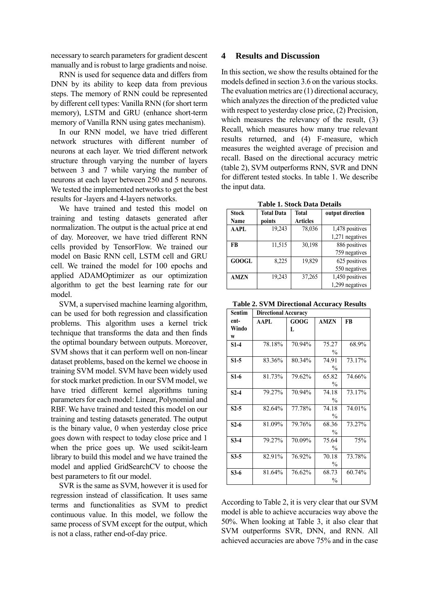necessary to search parameters for gradient descent manually and is robust to large gradients and noise.

RNN is used for sequence data and differs from DNN by its ability to keep data from previous steps. The memory of RNN could be represented by different cell types: Vanilla RNN (for short term memory), LSTM and GRU (enhance short-term memory of Vanilla RNN using gates mechanism).

In our RNN model, we have tried different network structures with different number of neurons at each layer. We tried different network structure through varying the number of layers between 3 and 7 while varying the number of neurons at each layer between 250 and 5 neurons. We tested the implemented networks to get the best results for -layers and 4-layers networks.

We have trained and tested this model on training and testing datasets generated after normalization. The output is the actual price at end of day. Moreover, we have tried different RNN cells provided by TensorFlow. We trained our model on Basic RNN cell, LSTM cell and GRU cell. We trained the model for 100 epochs and applied ADAMOptimizer as our optimization algorithm to get the best learning rate for our model.

SVM, a supervised machine learning algorithm, can be used for both regression and classification problems. This algorithm uses a kernel trick technique that transforms the data and then finds the optimal boundary between outputs. Moreover, SVM shows that it can perform well on non-linear dataset problems, based on the kernel we choose in training SVM model. SVM have been widely used for stock market prediction. In our SVM model, we have tried different kernel algorithms tuning parameters for each model: Linear, Polynomial and RBF. We have trained and tested this model on our training and testing datasets generated. The output is the binary value, 0 when yesterday close price goes down with respect to today close price and 1 when the price goes up. We used scikit-learn library to build this model and we have trained the model and applied GridSearchCV to choose the best parameters to fit our model.

SVR is the same as SVM, however it is used for regression instead of classification. It uses same terms and functionalities as SVM to predict continuous value. In this model, we follow the same process of SVM except for the output, which is not a class, rather end-of-day price.

### **4 Results and Discussion**

In this section, we show the results obtained for the models defined in section 3.6 on the various stocks. The evaluation metrics are (1) directional accuracy, which analyzes the direction of the predicted value with respect to yesterday close price, (2) Precision, which measures the relevancy of the result, (3) Recall, which measures how many true relevant results returned, and (4) F-measure, which measures the weighted average of precision and recall. Based on the directional accuracy metric (table 2), SVM outperforms RNN, SVR and DNN for different tested stocks. In table 1. We describe the input data.

**Table 1. Stock Data Details**

| <b>Stock</b><br>Name | <b>Total Data</b><br>points | <b>Total</b><br><b>Articles</b> | output direction |
|----------------------|-----------------------------|---------------------------------|------------------|
| <b>AAPL</b>          | 19,243                      | 78,036                          | 1,478 positives  |
|                      |                             |                                 | 1,271 negatives  |
| FB                   | 11,515                      | 30,198                          | 886 positives    |
|                      |                             |                                 | 759 negatives    |
| <b>GOOGL</b>         | 8,225                       | 19,829                          | 625 positives    |
|                      |                             |                                 | 550 negatives    |
| <b>AMZN</b>          | 19,243                      | 37,265                          | 1,450 positives  |
|                      |                             |                                 | 1,299 negatives  |

**Table 2. SVM Directional Accuracy Results**

| <b>Sentim</b> | <b>Directional Accuracy</b> |        |               |        |
|---------------|-----------------------------|--------|---------------|--------|
| ent-          | AAPL                        | GOOG   | <b>AMZN</b>   | FB     |
| Windo         |                             | L      |               |        |
| W             |                             |        |               |        |
| $S1-4$        | 78.18%                      | 70.94% | 75.27         | 68.9%  |
|               |                             |        | $\frac{0}{0}$ |        |
| $S1-5$        | 83.36%                      | 80.34% | 74.91         | 73.17% |
|               |                             |        | $\frac{0}{0}$ |        |
| $S1-6$        | 81.73%                      | 79.62% | 65.82         | 74.66% |
|               |                             |        | $\frac{0}{0}$ |        |
| $S2-4$        | 79.27%                      | 70.94% | 74.18         | 73.17% |
|               |                             |        | $\frac{0}{0}$ |        |
| $S2-5$        | 82.64%                      | 77.78% | 74.18         | 74.01% |
|               |                             |        | $\frac{0}{0}$ |        |
| $S2-6$        | 81.09%                      | 79.76% | 68.36         | 73.27% |
|               |                             |        | $\frac{0}{0}$ |        |
| $S3-4$        | 79.27%                      | 70.09% | 75.64         | 75%    |
|               |                             |        | $\frac{0}{0}$ |        |
| $S3-5$        | 82.91%                      | 76.92% | 70.18         | 73.78% |
|               |                             |        | $\frac{0}{0}$ |        |
| $S3-6$        | 81.64%                      | 76.62% | 68.73         | 60.74% |
|               |                             |        | $\frac{0}{0}$ |        |

According to Table 2, it is very clear that our SVM model is able to achieve accuracies way above the 50%. When looking at Table 3, it also clear that SVM outperforms SVR, DNN, and RNN. All achieved accuracies are above 75% and in the case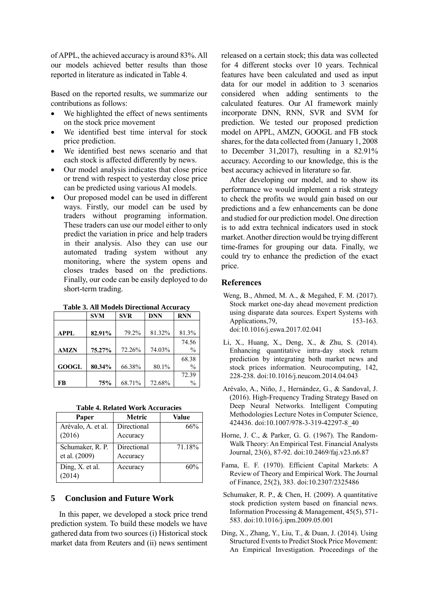of APPL, the achieved accuracy is around 83%. All our models achieved better results than those reported in literature as indicated in Table 4.

Based on the reported results, we summarize our contributions as follows:

- We highlighted the effect of news sentiments on the stock price movement
- We identified best time interval for stock price prediction.
- We identified best news scenario and that each stock is affected differently by news.
- Our model analysis indicates that close price or trend with respect to yesterday close price can be predicted using various AI models.
- Our proposed model can be used in different ways. Firstly, our model can be used by traders without programing information. These traders can use our model either to only predict the variation in price and help traders in their analysis. Also they can use our automated trading system without any monitoring, where the system opens and closes trades based on the predictions. Finally, our code can be easily deployed to do short-term trading.

|              | <b>SVM</b> | <b>SVR</b> | <b>DNN</b> | <b>RNN</b>    |
|--------------|------------|------------|------------|---------------|
|              |            |            |            |               |
| <b>APPL</b>  | 82.91%     | 79.2%      | 81.32%     | 81.3%         |
|              |            |            |            | 74.56         |
| <b>AMZN</b>  | 75.27%     | 72.26%     | 74.03%     | $\frac{0}{0}$ |
|              |            |            |            | 68.38         |
| <b>GOOGL</b> | 80.34%     | 66.38%     | 80.1%      | $\frac{0}{0}$ |
|              |            |            |            | 72.39         |
| FB           | 75%        | 68.71%     | 72.68%     | $\frac{0}{0}$ |

**Table 3. All Models Directional Accuracy**

**Table 4. Related Work Accuracies**

| Paper                             | Metric                  | Value  |
|-----------------------------------|-------------------------|--------|
| Arévalo, A. et al.<br>(2016)      | Directional<br>Accuracy | 66%    |
| Schumaker, R. P.<br>et al. (2009) | Directional<br>Accuracy | 71.18% |
| Ding, X. et al.<br>2014           | Accuracy                | 60%    |

### **5 Conclusion and Future Work**

In this paper, we developed a stock price trend prediction system. To build these models we have gathered data from two sources (i) Historical stock market data from Reuters and (ii) news sentiment

released on a certain stock; this data was collected for 4 different stocks over 10 years. Technical features have been calculated and used as input data for our model in addition to 3 scenarios considered when adding sentiments to the calculated features. Our AI framework mainly incorporate DNN, RNN, SVR and SVM for prediction. We tested our proposed prediction model on APPL, AMZN, GOOGL and FB stock shares, for the data collected from (January 1, 2008 to December 31,2017), resulting in a 82.91% accuracy. According to our knowledge, this is the best accuracy achieved in literature so far.

After developing our model, and to show its performance we would implement a risk strategy to check the profits we would gain based on our predictions and a few enhancements can be done and studied for our prediction model. One direction is to add extra technical indicators used in stock market. Another direction would be trying different time-frames for grouping our data. Finally, we could try to enhance the prediction of the exact price.

### **References**

- Weng, B., Ahmed, M. A., & Megahed, F. M. (2017). Stock market one-day ahead movement prediction using disparate data sources. Expert Systems with Applications, 79, 153-163. doi:10.1016/j.eswa.2017.02.041
- Li, X., Huang, X., Deng, X., & Zhu, S. (2014). Enhancing quantitative intra-day stock return prediction by integrating both market news and stock prices information. Neurocomputing, 142, 228-238. doi:10.1016/j.neucom.2014.04.043
- Arévalo, A., Niño, J., Hernández, G., & Sandoval, J. (2016). High-Frequency Trading Strategy Based on Deep Neural Networks. Intelligent Computing Methodologies Lecture Notes in Computer Science, 424436. doi:10.1007/978-3-319-42297-8\_40
- Horne, J. C., & Parker, G. G. (1967). The Random-Walk Theory: An Empirical Test. Financial Analysts Journal, 23(6), 87-92. doi:10.2469/faj.v23.n6.87
- Fama, E. F. (1970). Efficient Capital Markets: A Review of Theory and Empirical Work. The Journal of Finance, 25(2), 383. doi:10.2307/2325486
- Schumaker, R. P., & Chen, H. (2009). A quantitative stock prediction system based on financial news. Information Processing & Management, 45(5), 571- 583. doi:10.1016/j.ipm.2009.05.001
- Ding, X., Zhang, Y., Liu, T., & Duan, J. (2014). Using Structured Events to Predict Stock Price Movement: An Empirical Investigation. Proceedings of the